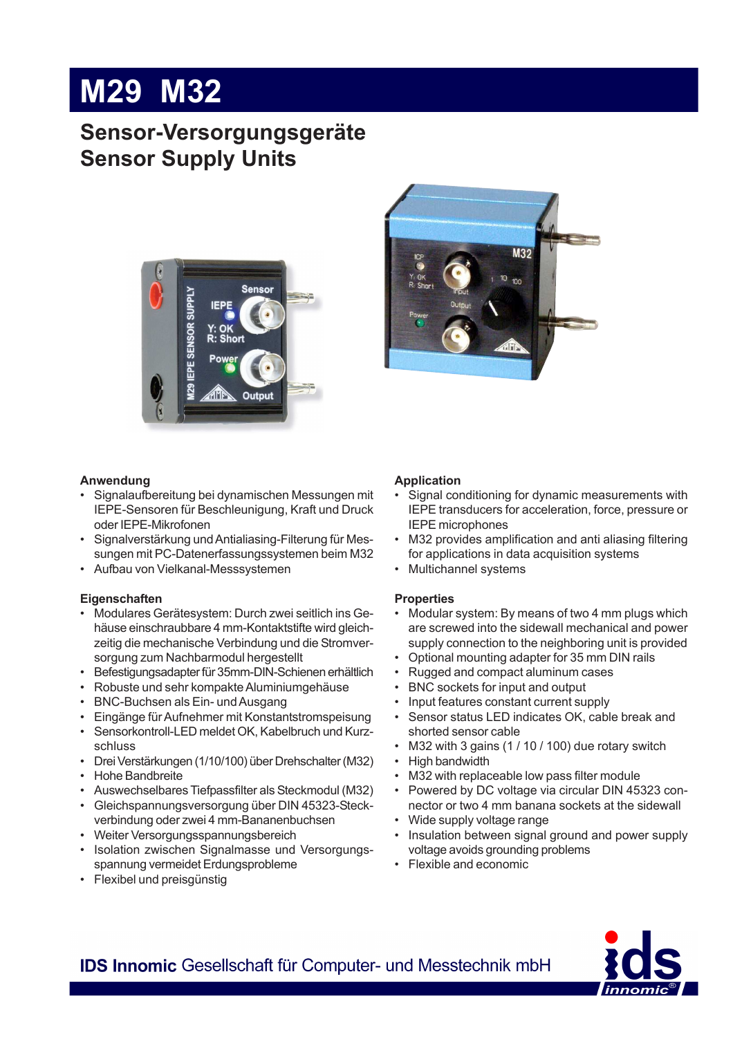# **M29 M32**

### **Sensor-Versorgungsgeräte Sensor Supply Units**





### **Anwendung**

- Signalaufbereitung bei dynamischen Messungen mit IEPE-Sensoren für Beschleunigung, Kraft und Druck oder IEPE-Mikrofonen
- Signalverstärkung und Antialiasing-Filterung für Messungen mit PC-Datenerfassungssystemen beim M32
- Aufbau von Vielkanal-Messsystemen

### **Eigenschaften**

- Modulares Gerätesystem: Durch zwei seitlich ins Gehäuse einschraubbare 4 mm-Kontaktstifte wird gleichzeitig die mechanische Verbindung und die Stromversorgung zum Nachbarmodul hergestellt
- Befestigungsadapter für 35mm-DIN-Schienen erhältlich
- Robuste und sehr kompakte Aluminiumgehäuse
- BNC-Buchsen als Ein- und Ausgang
- Eingänge für Aufnehmer mit Konstantstromspeisung
- Sensorkontroll-LED meldet OK, Kabelbruch und Kurzschluss
- Drei Verstärkungen (1/10/100) über Drehschalter (M32)
- Hohe Bandbreite
- Auswechselbares Tiefpassfilter als Steckmodul (M32)
- Gleichspannungsversorgung über DIN 45323-Steckverbindung oder zwei 4 mm-Bananenbuchsen
- Weiter Versorgungsspannungsbereich
- Isolation zwischen Signalmasse und Versorgungsspannung vermeidet Erdungsprobleme
- Flexibel und preisgünstig

### **Application**

- Signal conditioning for dynamic measurements with IEPE transducers for acceleration, force, pressure or IEPE microphones
- M32 provides amplification and anti aliasing filtering for applications in data acquisition systems
- Multichannel systems

### **Properties**

- Modular system: By means of two 4 mm plugs which are screwed into the sidewall mechanical and power supply connection to the neighboring unit is provided
- Optional mounting adapter for 35 mm DIN rails
- Rugged and compact aluminum cases
- BNC sockets for input and output
- Input features constant current supply
- Sensor status LED indicates OK, cable break and shorted sensor cable
- M32 with 3 gains (1 / 10 / 100) due rotary switch
- High bandwidth
- M32 with replaceable low pass filter module
- Powered by DC voltage via circular DIN 45323 connector or two 4 mm banana sockets at the sidewall
- Wide supply voltage range
- Insulation between signal ground and power supply voltage avoids grounding problems
- Flexible and economic